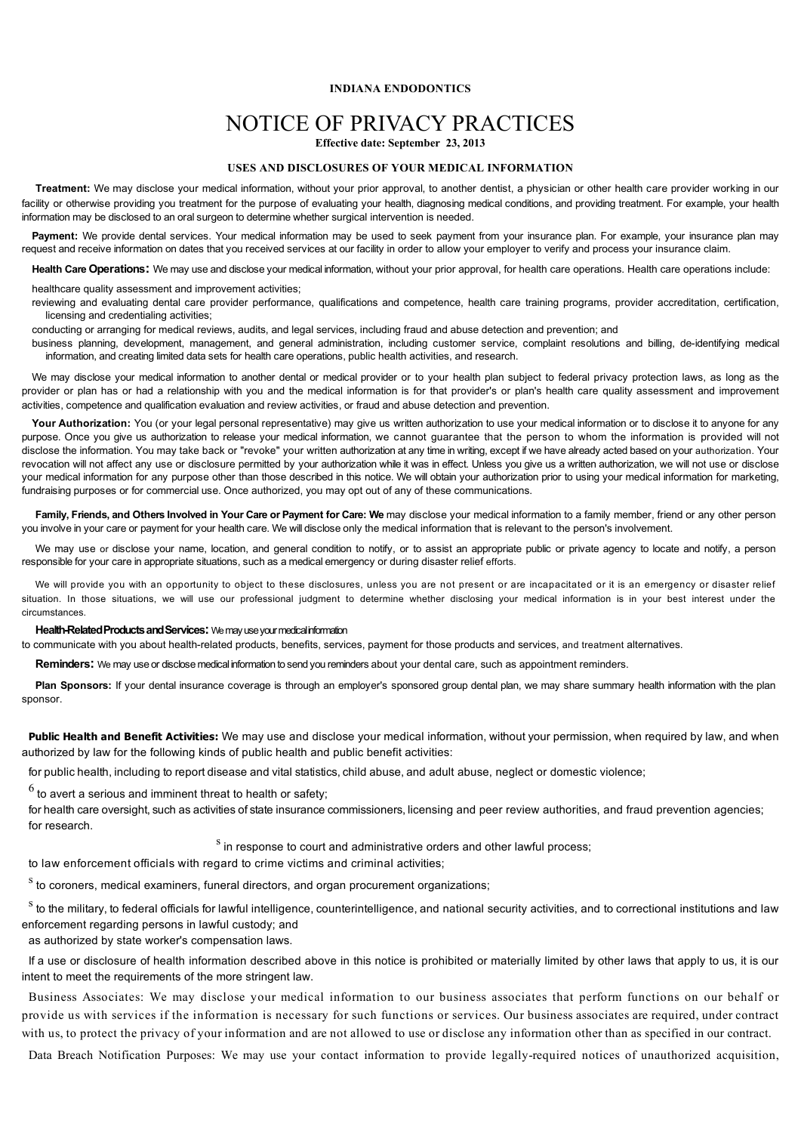## **INDIANA ENDODONTICS**

# NOTICE OF PRIVACY PRACTICES

**Effective date: September 23, 2013**

#### **USES AND DISCLOSURES OF YOUR MEDICAL INFORMATION**

**Treatment:** We may disclose your medical information, without your prior approval, to another dentist, a physician or other health care provider working in our facility or otherwise providing you treatment for the purpose of evaluating your health, diagnosing medical conditions, and providing treatment. For example, your health information may be disclosed to an oral surgeon to determine whether surgical intervention is needed.

**Payment:** We provide dental services. Your medical information may be used to seek payment from your insurance plan. For example, your insurance plan may request and receive information on dates that you received services at our facility in order to allow your employer to verify and process your insurance claim.

**Health Care Operations:** We may use and disclose your medical information, without your prior approval, for health care operations. Health care operations include:

healthcare quality assessment and improvement activities;

reviewing and evaluating dental care provider performance, qualifications and competence, health care training programs, provider accreditation, certification, licensing and credentialing activities;

conducting or arranging for medical reviews, audits, and legal services, including fraud and abuse detection and prevention; and

Your Authorization: You (or your legal personal representative) may give us written authorization to use your medical information or to disclose it to anyone for any purpose. Once you give us authorization to release your medical information, we cannot guarantee that the person to whom the information is provided will not disclose the information. You may take back or "revoke" your written authorization at any time in writing, except if we have already acted based on your authorization. Your revocation will not affect any use or disclosure permitted by your authorization while it was in effect. Unless you give us a written authorization, we will not use or disclose your medical information for any purpose other than those described in this notice. We will obtain your authorization prior to using your medical information for marketing, fundraising purposes or for commercial use. Once authorized, you may opt out of any of these communications.

business planning, development, management, and general administration, including customer service, complaint resolutions and billing, de-identifying medical information, and creating limited data sets for health care operations, public health activities, and research.

Family, Friends, and Others Involved in Your Care or Payment for Care: We may disclose your medical information to a family member, friend or any other person you involve in your care or payment for your health care. We will disclose only the medical information that is relevant to the person's involvement.

We may use or disclose your name, location, and general condition to notify, or to assist an appropriate public or private agency to locate and notify, a person responsible for your care in appropriate situations, such as a medical emergency or during disaster relief efforts.

We may disclose your medical information to another dental or medical provider or to your health plan subject to federal privacy protection laws, as long as the provider or plan has or had a relationship with you and the medical information is for that provider's or plan's health care quality assessment and improvement activities, competence and qualification evaluation and review activities, or fraud and abuse detection and prevention.

<sup>s</sup> to the military, to federal officials for lawful intelligence, counterintelligence, and national security activities, and to correctional institutions and law enforcement regarding persons in lawful custody; and as authorized by state worker's compensation laws.

We will provide you with an opportunity to object to these disclosures, unless you are not present or are incapacitated or it is an emergency or disaster relief situation. In those situations, we will use our professional judgment to determine whether disclosing your medical information is in your best interest under the circumstances.

#### **Health-Related Products and Services:** We may use your medical information

to communicate with you about health-related products, benefits, services, payment for those products and services, and treatment alternatives.

**Reminders:** We may use or disclose medical information to send you reminders about your dental care, such as appointment reminders.

**Plan Sponsors:** If your dental insurance coverage is through an employer's sponsored group dental plan, we may share summary health information with the plan sponsor.

**Public Health and Benefit Activities:** We may use and disclose your medical information, without your permission, when required by law, and when authorized by law for the following kinds of public health and public benefit activities:

for public health, including to report disease and vital statistics, child abuse, and adult abuse, neglect or domestic violence;

 $6$  to avert a serious and imminent threat to health or safety;

for health care oversight, such as activities of state insurance commissioners, licensing and peer review authorities, and fraud prevention agencies; for research.

 $\frac{s}{s}$  in response to court and administrative orders and other lawful process;

to law enforcement officials with regard to crime victims and criminal activities;

 $s$  to coroners, medical examiners, funeral directors, and organ procurement organizations;

If a use or disclosure of health information described above in this notice is prohibited or materially limited by other laws that apply to us, it is our intent to meet the requirements of the more stringent law.

Business Associates: We may disclose your medical information to our business associates that perform functions on our behalf or provide us with services if the information is necessary for such functions or services. Our business associates are required, under contract with us, to protect the privacy of your information and are not allowed to use or disclose any information other than as specified in our contract.

Data Breach Notification Purposes: We may use your contact information to provide legally-required notices of unauthorized acquisition,